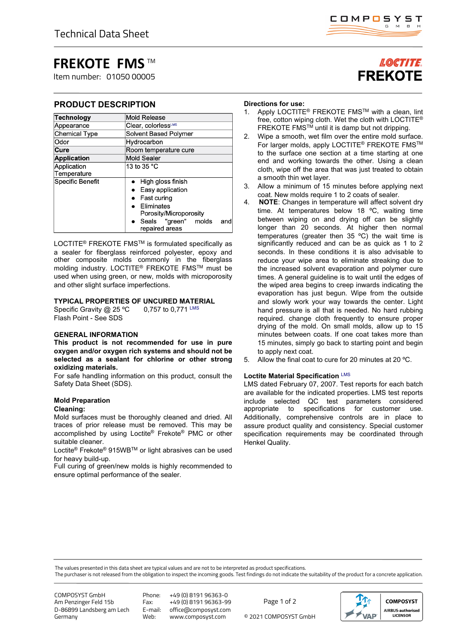# **FREKOTE FMS** TM

Item number: 01050 00005

## **PRODUCT DESCRIPTION**

| <b>Technology</b>          | Mold Release                                                                                                                                   |
|----------------------------|------------------------------------------------------------------------------------------------------------------------------------------------|
| Appearance                 | Clear, colorlessLMS                                                                                                                            |
| <b>Chemical Type</b>       | Solvent Based Polymer                                                                                                                          |
| Odor                       | Hydrocarbon                                                                                                                                    |
| Cure                       | Room temperature cure                                                                                                                          |
| <b>Application</b>         | Mold Sealer                                                                                                                                    |
| Application<br>Temperature | 13 to 35 $^{\circ}$ C                                                                                                                          |
| Specific Benefit           | High gloss finish<br>Easy application<br>Fast curing<br>Eliminates<br>Porosity/Microporosity<br>• Seals "green" molds<br>and<br>repaired areas |

LOCTITE® FREKOTE FMSTM is formulated specifically as a sealer for fiberglass reinforced polyester, epoxy and other composite molds commonly in the fiberglass molding industry. LOCTITE® FREKOTE FMSTM must be used when using green, or new, molds with microporosity and other slight surface imperfections.

### **TYPICAL PROPERTIES OF UNCURED MATERIAL**

Specific Gravity  $@$  25 °C 0,757 to 0,771 LMS Flash Point - See SDS

### **GENERAL INFORMATION**

**This product is not recommended for use in pure oxygen and/or oxygen rich systems and should not be selected as a sealant for chlorine or other strong oxidizing materials.**

For safe handling information on this product, consult the Safety Data Sheet (SDS).

# **Mold Preparation**

## **Cleaning:**

Mold surfaces must be thoroughly cleaned and dried. All traces of prior release must be removed. This may be accomplished by using Loctite® Frekote® PMC or other suitable cleaner.

Loctite® Frekote® 915WBTM or light abrasives can be used for heavy build-up.

Full curing of green/new molds is highly recommended to ensure optimal performance of the sealer.

# LOCTITE. **FREKOTE**

### **Directions for use:**

- 1. Apply LOCTITE® FREKOTE FMSTM with a clean, lint free, cotton wiping cloth. Wet the cloth with LOCTITE® FREKOTE FMS<sup>TM</sup> until it is damp but not dripping.
- 2. Wipe a smooth, wet film over the entire mold surface. For larger molds, apply LOCTITE® FREKOTE FMS™ to the surface one section at a time starting at one end and working towards the other. Using a clean cloth, wipe off the area that was just treated to obtain a smooth thin wet layer.
- 3. Allow a minimum of 15 minutes before applying next coat. New molds require 1 to 2 coats of sealer.
- 4. **NOTE**: Changes in temperature will affect solvent dry time. At temperatures below 18 °C, waiting time between wiping on and drying off can be slightly longer than 20 seconds. At higher then normal temperatures (greater then  $35 \degree C$ ) the wait time is significantly reduced and can be as quick as 1 to 2 seconds. In these conditions it is also advisable to reduce your wipe area to eliminate streaking due to the increased solvent evaporation and polymer cure times. A general guideline is to wait until the edges of the wiped area begins to creep inwards indicating the evaporation has just begun. Wipe from the outside and slowly work your way towards the center. Light hand pressure is all that is needed. No hard rubbing required. change cloth frequently to ensure proper drying of the mold. On small molds, allow up to 15 minutes between coats. If one coat takes more than 15 minutes, simply go back to starting point and begin to apply next coat.
- 5. Allow the final coat to cure for 20 minutes at 20 ºC.

### **Loctite Material Specification** LMS

LMS dated February 07, 2007. Test reports for each batch are available for the indicated properties. LMS test reports include selected QC test parameters considered appropriate to specifications for customer use. Additionally, comprehensive controls are in place to assure product quality and consistency. Special customer specification requirements may be coordinated through Henkel Quality.

The values presented in this data sheet are typical values and are not to be interpreted as product specifications.

The purchaser is not released from the obligation to inspect the incoming goods. Test findings do not indicate the suitability of the product for a concrete application.

COMPOSYST GmbH Am Penzinger Feld 15b D-86899 Landsberg am Lech Germany

Phone: +49 (0) 8191 96363-0 Fax: +49 (0) 8191 96363-99 E-mail: office@composyst.com

© 2021 COMPOSYST GmbH Page 1 of 2